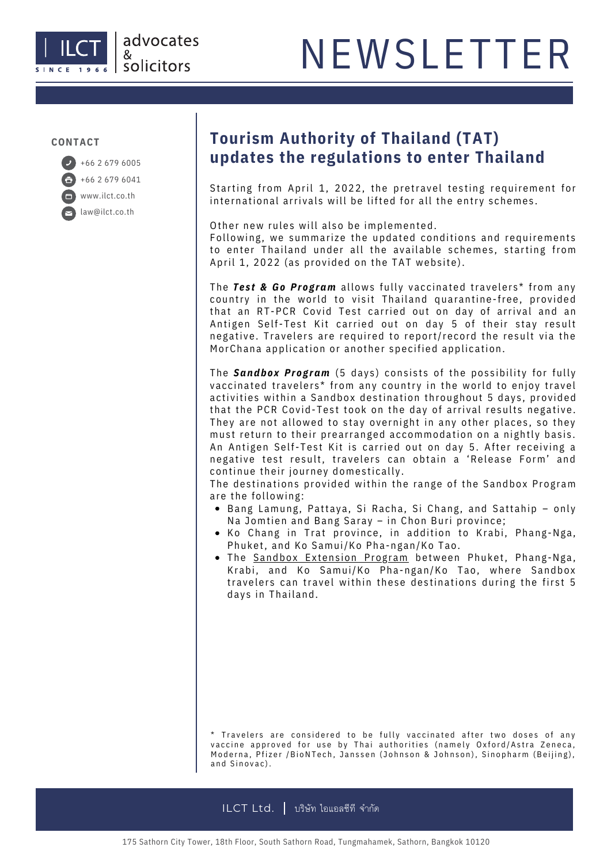

#### **CONTACT**

+66 2 679 6041 www.ilct.co.th law@ilct.co.th

### **Tourism Authority of Thailand (TAT)** +66 <sup>2</sup> <sup>679</sup> <sup>6005</sup> **updates the regulations to enter Thailand**

Starting from April 1, 2022, the pretravel testing requirement for international arrivals will be lifted for all the entry schemes.

Other new rules will also be implemented.

Following, we summarize the updated conditions and requirements to enter Thailand under all the available schemes, starting from April 1, 2022 (as provided on the TAT website).

The **Test & Go Program** allows fully vaccinated travelers\* from any country in the world to visit Thailand quarantine-free, provided that an RT-PCR Covid Test carried out on day of arrival and an Antigen Self-Test Kit carried out on day 5 of their stay result negative. Travelers are required to report/record the result via the MorChana application or another specified application.

The **Sandbox Program** (5 days) consists of the possibility for fully vaccinated travelers\* from any country in the world to enjoy travel activities within a Sandbox destination throughout 5 days, provided that the PCR Covid-Test took on the day of arrival results negative. They are not allowed to stay overnight in any other places, so they must return to their prearranged accommodation on a nightly basis. An Antigen Self-Test Kit is carried out on day 5. After receiving a negative test result, travelers can obtain a 'Release Form' and continue their journey domestically.

The destinations provided within the range of the Sandbox Program are the following:

- Bang Lamung, Pattaya, Si Racha, Si Chang, and Sattahip only Na Jomtien and Bang Saray - in Chon Buri province;
- Ko Chang in Trat province, in addition to Krabi, Phang-Nga, Phuket, and Ko Samui/Ko Pha-ngan/Ko Tao.
- The Sandbox Extension Program between Phuket, Phang-Nga, Krabi, and Ko Samui/Ko Pha-ngan/Ko Tao, where Sandbox travelers can travel within these destinations during the first 5 days in Thailand.

<sup>\*</sup> Travelers are considered to be fully vaccinated after two doses of any vaccine approved for use by Thai authorities (namely Oxford/Astra Zeneca, Moderna, Pfizer / BioNTech, Janssen (Johnson & Johnson), Sinopharm (Beijing), and Sinovac).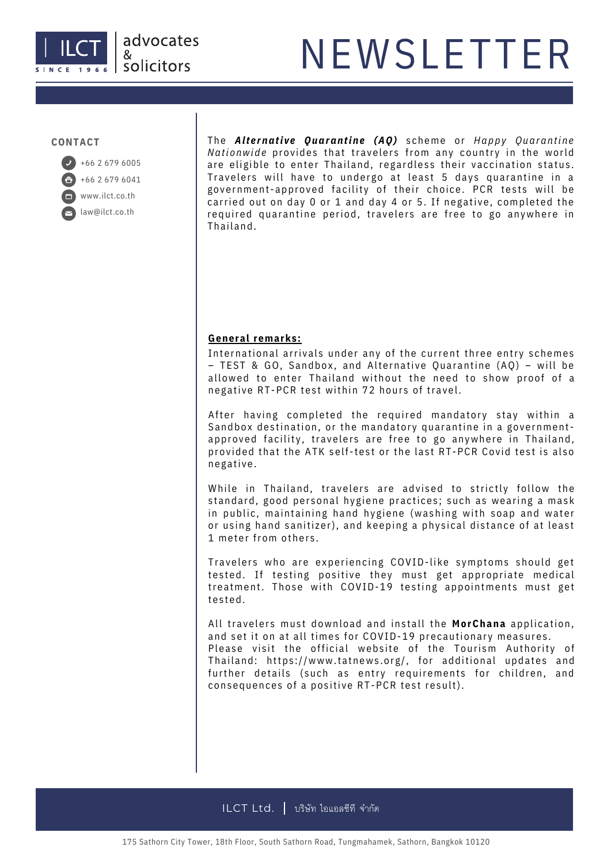#### **CONTACT**



The *Alt e rnati v e Quarantine (AQ)* s cheme or *Happy Quarantine Nationwide* provides that travelers from any country in the world are eligible to enter Thailand, regardless their vaccination status. Travelers will have to undergo at least 5 days quarantine in a government-approved facility of their choice. PCR tests will be carried out on day 0 or 1 and day 4 or 5. If negative, completed the required quarantine period, travelers are free to go anywhere in Thailand.

#### **General remarks:**

International arrivals under any of the current three entry schemes  $-$  TEST & GO, Sandbox, and Alternative Ouarantine (AO) – will be allowed to enter Thailand without the need to show proof of a negative RT-PCR test within 72 hours of travel.

After having completed the required mandatory stay within a Sandbox destination, or the mandatory quarantine in a governmentapproved facility, travelers are free to go anywhere in Thailand, provided that the ATK self-test or the last RT-PCR Covid test is also negative.

While in Thailand, travelers are advised to strictly follow the standard, good personal hygiene practices; such as wearing a mask in public, maintaining hand hygiene (washing with soap and water or using hand sanitizer), and keeping a physical distance of at least 1 meter from others.

Travelers who are experiencing COVID-like symptoms should get tested. If testing positive they must get appropriate medical treatment. Those with COVID-19 testing appointments must get tested.

All travelers must download and install the **MorChana** application, and set it on at all times for COVID-19 precautionary measures. Please visit the official website of the Tourism Authority of Thailand: https://www.tatnews.org/, for additional updates and further details (such as entry requirements for children, and consequences of a positive RT-PCR test result).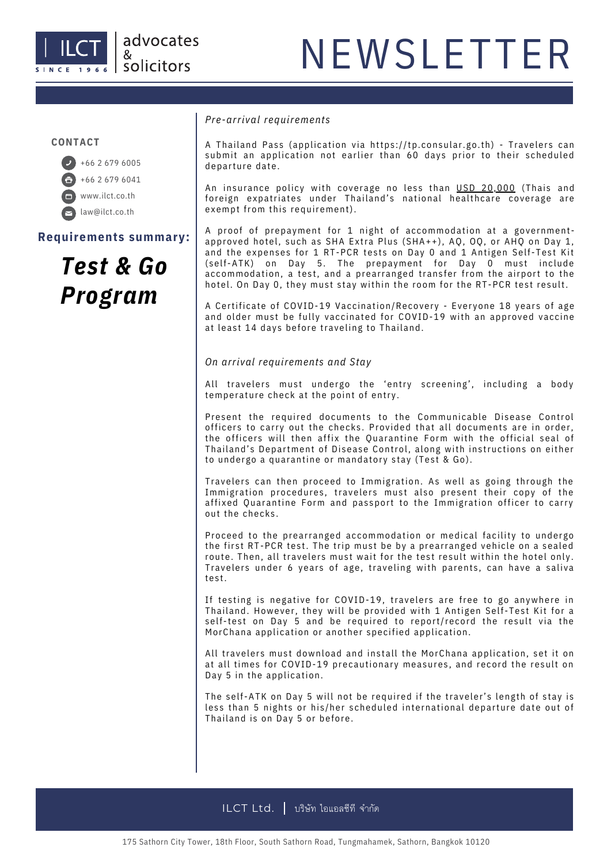

#### **CONTACT**



**Requirements summary:**

### *Test & Go Program*

#### *Pre-arrival requirements*

A Thailand Pass (application via https://tp.consular.go.th) - Travelers can submit an application not earlier than 60 days prior to their scheduled departure date.

An insurance policy with coverage no less than USD 20,000 (Thais and foreign expatriates under Thailand's national healthcare coverage are exempt from this requirement).

A proof of prepayment for 1 night of accommodation at a governmentapproved hotel, such as SHA Extra Plus (SHA++), AQ, OQ, or AHQ on Day 1, and the expenses for 1 RT-PCR tests on Day 0 and 1 Antigen Self-Test Kit (self-ATK) on Day 5. The prepayment for Day 0 must include accommodation, a test, and a prearranged transfer from the airport to the hotel. On Day 0, they must stay within the room for the RT-PCR test result.

A Certificate of COVID-19 Vaccination/Recovery - Everyone 18 years of age and older must be fully vaccinated for COVID-19 with an approved vaccine at least 14 days before traveling to Thailand.

*On arrival requirements and Stay*

All travelers must undergo the 'entry screening', including a body temperature check at the point of entry.

Present the required documents to the Communicable Disease Control officers to carry out the checks. Provided that all documents are in order, the officers will then affix the Quarantine Form with the official seal of Thailand's Department of Disease Control, along with instructions on either to undergo a quarantine or mandatory stay (Test & Go).

Travelers can then proceed to Immigration. As well as going through the Immigration procedures, travelers must also present their copy of the affixed Quarantine Form and passport to the Immigration officer to carry out the checks.

Proceed to the prearranged accommodation or medical facility to undergo the first RT-PCR test. The trip must be by a prearranged vehicle on a sealed route. Then, all travelers must wait for the test result within the hotel only. Travelers under 6 years of age, traveling with parents, can have a saliva test.

If testing is negative for COVID-19, travelers are free to go anywhere in Thailand. However, they will be provided with 1 Antigen Self-Test Kit for a self-test on Day 5 and be required to report/record the result via the MorChana application or another specified application.

All travelers must download and install the MorChana application, set it on at all times for COVID-19 precautionary measures, and record the result on Day 5 in the application.

The self-ATK on Day 5 will not be required if the traveler's length of stay is less than 5 nights or his/her scheduled international departure date out of Thailand is on Day 5 or before.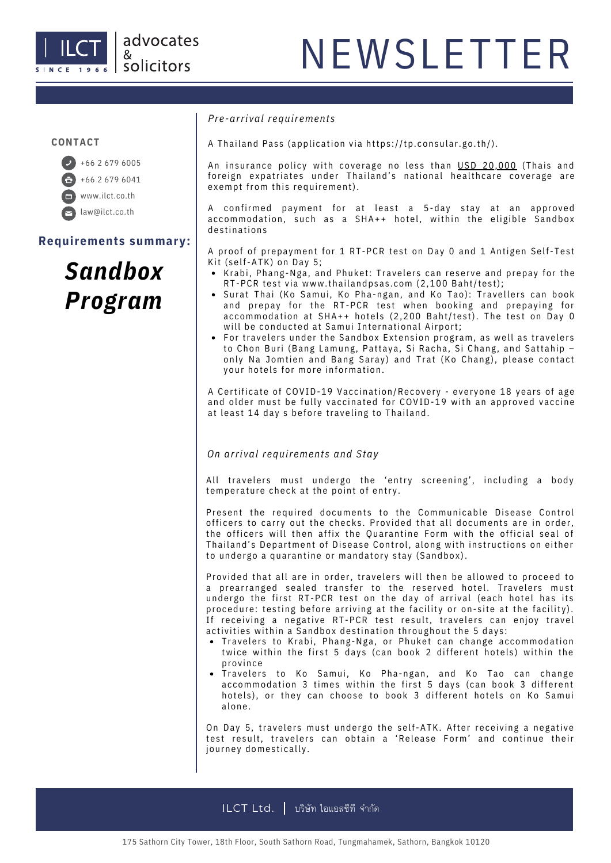

#### **CONTACT**

+66 2 679 6005 +66 2 679 6041 www.ilct.co.th law@ilct.co.th

**Requirements summary:**

### *Sandbox Program*

*Pre-arrival requirement s*

A Thailand Pass (application via https://tp.consular.go.th/).

An insurance policy with coverage no less than USD 20,000 (Thais and foreign expatriates under Thailand's national healthcare coverage are exempt from this requirement).

A confirmed payment for at least a 5-day stay at an approved accommodation, such as a SHA++ hotel, within the eligible Sandbox destinations

A proof of prepayment for 1 RT-PCR test on Day 0 and 1 Antigen Self-Test Kit (self-ATK) on Day 5;

- Krabi, Phang-Nga, and Phuket: Travelers can reserve and prepay for the RT-PCR test via [www.tha](http://www.thailandpsas.com/)ilandpsas.com (2,100 Baht/test);
- Surat Thai (Ko Samui, Ko Pha-ngan, and Ko Tao): Travellers can book and prepay for the RT-PCR test when booking and prepaying for accommodation at SHA++ hotels (2,200 Baht/test). The test on Day 0 will be conducted at Samui International Airport;
- For travelers under the Sandbox Extension program, as well as travelers to Chon Buri (Bang Lamung, Pattaya, Si Racha, Si Chang, and Sattahip only Na Jomtien and Bang Saray) and Trat (Ko Chang), please contact your hotels for more information.

A Certificate of COVID-19 Vaccination/Recovery - everyone 18 years of age and older must be fully vaccinated for COVID-19 with an approved vaccine at least 14 day s before traveling to Thailand.

*On arrival requirement s and Stay*

All travelers must undergo the 'entry screening', including a body temperature check at the point of entry.

Present the required documents to the Communicable Disease Control officers to carry out the checks. Provided that all documents are in order, the officers will then affix the Quarantine Form with the official seal of Thailand's Department of Disease Control, along with instructions on either to undergo a quarantine or mandatory stay (Sandbox).

Provided that all are in order, travelers will then be allowed to proceed to a prearranged sealed transfer to the reserved hotel. Travelers must undergo the first RT-PCR test on the day of arrival (each hotel has its procedure: testing before arriving at the facility or on-site at the facility). If receiving a negative RT-PCR test result, travelers can enjoy travel activities within a Sandbox destination throughout the 5 days:

- Travelers to Krabi, Phang-Nga, or Phuket can change accommodation twice within the first 5 days (can book 2 different hotels) within the province
- Travelers to Ko Samui, Ko Pha-ngan, and Ko Tao can change accommodation 3 times within the first 5 days (can book 3 different hotels), or they can choose to book 3 different hotels on Ko Samui a lone .

On Day 5, travelers must undergo the self-ATK. After receiving a negative test result, travelers can obtain a 'Release Form' and continue their journey domestically.